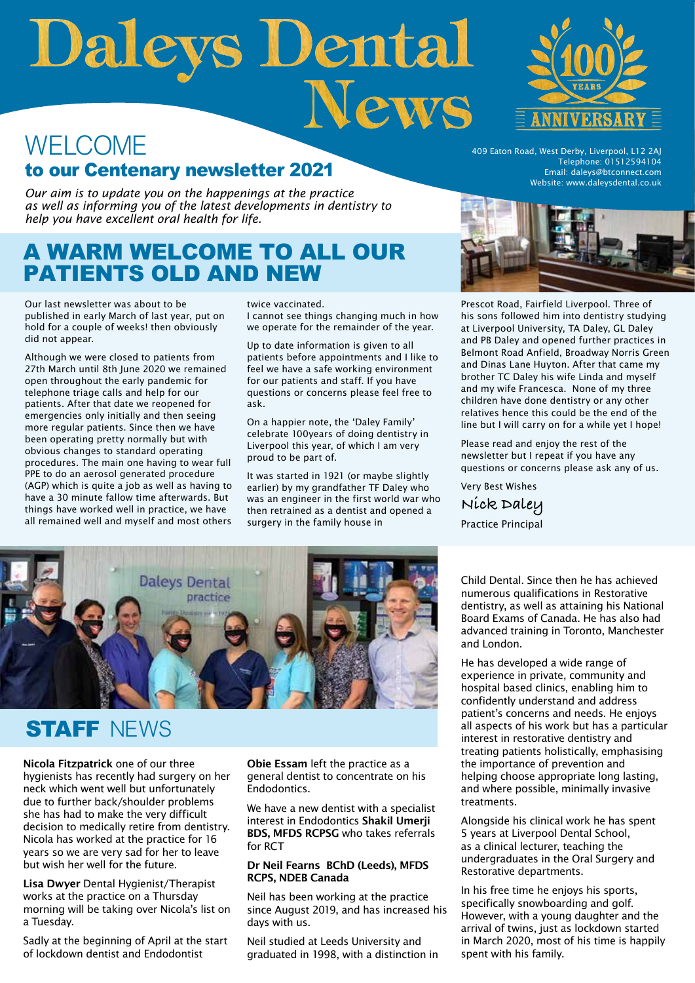# Daleys Dental

# WELCOME to our Centenary newsletter 2021

*Our aim is to update you on the happenings at the practice as well as informing you of the latest developments in dentistry to help you have excellent oral health for life.*

# A WARM WELCOME TO ALL OUR PATIENTS OLD AND NEW

Our last newsletter was about to be published in early March of last year, put on hold for a couple of weeks! then obviously did not appear.

Although we were closed to patients from 27th March until 8th June 2020 we remained open throughout the early pandemic for telephone triage calls and help for our patients. After that date we reopened for emergencies only initially and then seeing more regular patients. Since then we have been operating pretty normally but with obvious changes to standard operating procedures. The main one having to wear full PPE to do an aerosol generated procedure (AGP) which is quite a job as well as having to have a 30 minute fallow time afterwards. But things have worked well in practice, we have all remained well and myself and most others twice vaccinated.

I cannot see things changing much in how we operate for the remainder of the year.

Up to date information is given to all patients before appointments and I like to feel we have a safe working environment for our patients and staff. If you have questions or concerns please feel free to ask.

On a happier note, the 'Daley Family' celebrate 100years of doing dentistry in Liverpool this year, of which I am very proud to be part of.

It was started in 1921 (or maybe slightly earlier) by my grandfather TF Daley who was an engineer in the first world war who then retrained as a dentist and opened a surgery in the family house in



409 Eaton Road, West Derby, Liverpool, L12 2AJ Telephone: 01512594104 Email: daleys@btconnect.com Website: www.daleysdental.co.uk



Prescot Road, Fairfield Liverpool. Three of his sons followed him into dentistry studying at Liverpool University, TA Daley, GL Daley and PB Daley and opened further practices in Belmont Road Anfield, Broadway Norris Green and Dinas Lane Huyton. After that came my brother TC Daley his wife Linda and myself and my wife Francesca. None of my three children have done dentistry or any other relatives hence this could be the end of the line but I will carry on for a while yet I hope!

Please read and enjoy the rest of the newsletter but I repeat if you have any questions or concerns please ask any of us.

Very Best Wishes **Nick Daley**  Practice Principal



# **STAFF NEWS**

Nicola Fitzpatrick one of our three hygienists has recently had surgery on her neck which went well but unfortunately due to further back/shoulder problems she has had to make the very difficult decision to medically retire from dentistry. Nicola has worked at the practice for 16 years so we are very sad for her to leave but wish her well for the future.

Lisa Dwyer Dental Hygienist/Therapist works at the practice on a Thursday morning will be taking over Nicola's list on a Tuesday.

Sadly at the beginning of April at the start of lockdown dentist and Endodontist

Obie Essam left the practice as a general dentist to concentrate on his Endodontics.

We have a new dentist with a specialist interest in Endodontics Shakil Umerji BDS, MFDS RCPSG who takes referrals for RCT

### Dr Neil Fearns BChD (Leeds), MFDS RCPS, NDEB Canada

Neil has been working at the practice since August 2019, and has increased his days with us.

Neil studied at Leeds University and graduated in 1998, with a distinction in Child Dental. Since then he has achieved numerous qualifications in Restorative dentistry, as well as attaining his National Board Exams of Canada. He has also had advanced training in Toronto, Manchester and London.

He has developed a wide range of experience in private, community and hospital based clinics, enabling him to confidently understand and address patient's concerns and needs. He enjoys all aspects of his work but has a particular interest in restorative dentistry and treating patients holistically, emphasising the importance of prevention and helping choose appropriate long lasting, and where possible, minimally invasive treatments.

Alongside his clinical work he has spent 5 years at Liverpool Dental School, as a clinical lecturer, teaching the undergraduates in the Oral Surgery and Restorative departments.

In his free time he enjoys his sports, specifically snowboarding and golf. However, with a young daughter and the arrival of twins, just as lockdown started in March 2020, most of his time is happily spent with his family.